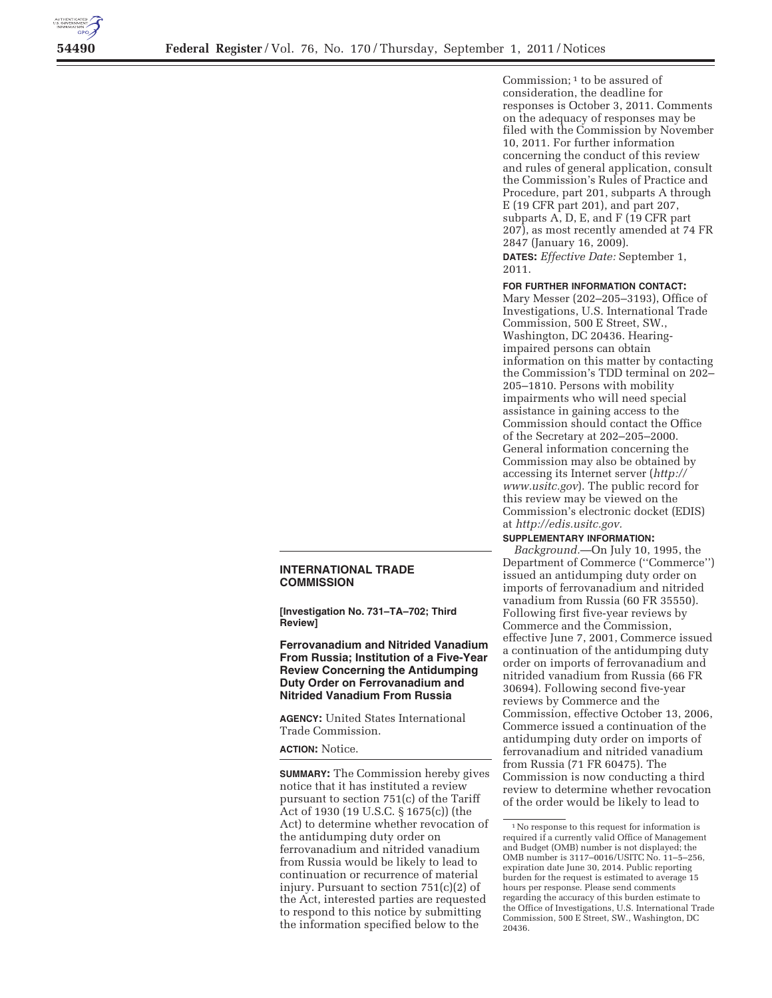

Commission; 1 to be assured of consideration, the deadline for responses is October 3, 2011. Comments on the adequacy of responses may be filed with the Commission by November 10, 2011. For further information concerning the conduct of this review and rules of general application, consult the Commission's Rules of Practice and Procedure, part 201, subparts A through E (19 CFR part 201), and part 207, subparts A, D, E, and F (19 CFR part 207), as most recently amended at 74 FR 2847 (January 16, 2009). **DATES:** *Effective Date:* September 1, 2011.

#### **FOR FURTHER INFORMATION CONTACT:**

Mary Messer (202–205–3193), Office of Investigations, U.S. International Trade Commission, 500 E Street, SW., Washington, DC 20436. Hearingimpaired persons can obtain information on this matter by contacting the Commission's TDD terminal on 202– 205–1810. Persons with mobility impairments who will need special assistance in gaining access to the Commission should contact the Office of the Secretary at 202–205–2000. General information concerning the Commission may also be obtained by accessing its Internet server (*http:// www.usitc.gov*). The public record for this review may be viewed on the Commission's electronic docket (EDIS) at *http://edis.usitc.gov.* 

#### **SUPPLEMENTARY INFORMATION:**

*Background.*—On July 10, 1995, the Department of Commerce (''Commerce'') issued an antidumping duty order on imports of ferrovanadium and nitrided vanadium from Russia (60 FR 35550). Following first five-year reviews by Commerce and the Commission, effective June 7, 2001, Commerce issued a continuation of the antidumping duty order on imports of ferrovanadium and nitrided vanadium from Russia (66 FR 30694). Following second five-year reviews by Commerce and the Commission, effective October 13, 2006, Commerce issued a continuation of the antidumping duty order on imports of ferrovanadium and nitrided vanadium from Russia (71 FR 60475). The Commission is now conducting a third review to determine whether revocation of the order would be likely to lead to

# **INTERNATIONAL TRADE COMMISSION**

**[Investigation No. 731–TA–702; Third Review]** 

**Ferrovanadium and Nitrided Vanadium From Russia; Institution of a Five-Year Review Concerning the Antidumping Duty Order on Ferrovanadium and Nitrided Vanadium From Russia** 

**AGENCY:** United States International Trade Commission.

# **ACTION:** Notice.

**SUMMARY:** The Commission hereby gives notice that it has instituted a review pursuant to section 751(c) of the Tariff Act of 1930 (19 U.S.C. § 1675(c)) (the Act) to determine whether revocation of the antidumping duty order on ferrovanadium and nitrided vanadium from Russia would be likely to lead to continuation or recurrence of material injury. Pursuant to section 751(c)(2) of the Act, interested parties are requested to respond to this notice by submitting the information specified below to the

<sup>1</sup>No response to this request for information is required if a currently valid Office of Management and Budget (OMB) number is not displayed; the OMB number is 3117–0016/USITC No. 11–5–256, expiration date June 30, 2014. Public reporting burden for the request is estimated to average 15 hours per response. Please send comments regarding the accuracy of this burden estimate to the Office of Investigations, U.S. International Trade Commission, 500 E Street, SW., Washington, DC 20436.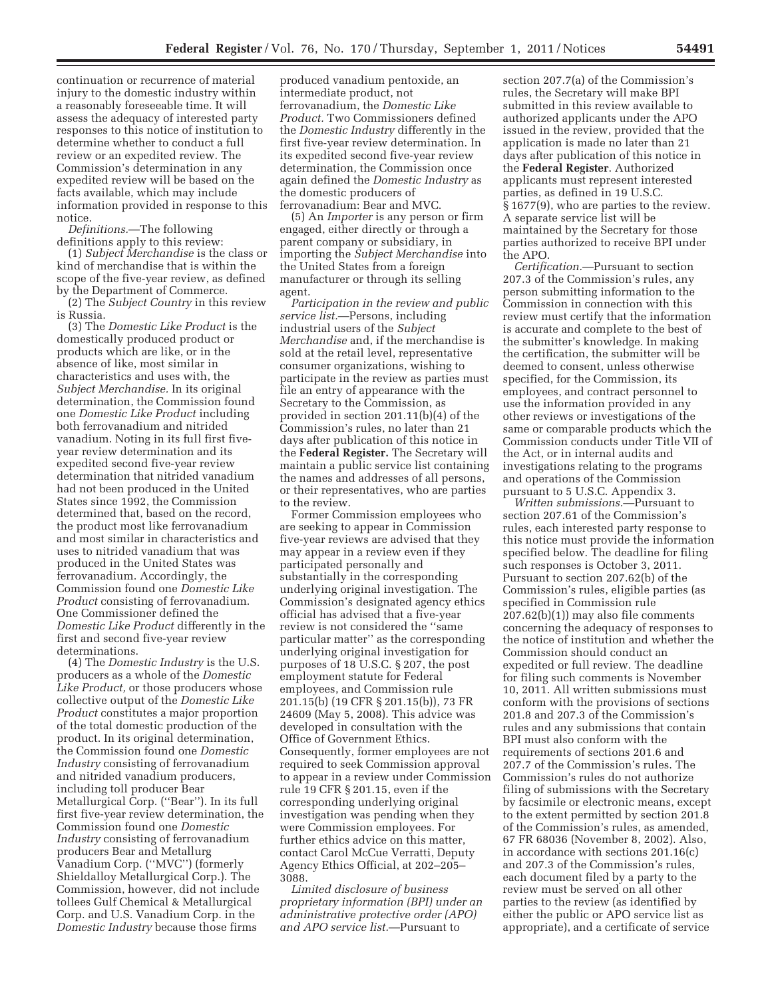continuation or recurrence of material injury to the domestic industry within a reasonably foreseeable time. It will assess the adequacy of interested party responses to this notice of institution to determine whether to conduct a full review or an expedited review. The Commission's determination in any expedited review will be based on the facts available, which may include information provided in response to this notice.

*Definitions.*—The following definitions apply to this review:

(1) *Subject Merchandise* is the class or kind of merchandise that is within the scope of the five-year review, as defined by the Department of Commerce.

(2) The *Subject Country* in this review is Russia.

(3) The *Domestic Like Product* is the domestically produced product or products which are like, or in the absence of like, most similar in characteristics and uses with, the *Subject Merchandise.* In its original determination, the Commission found one *Domestic Like Product* including both ferrovanadium and nitrided vanadium. Noting in its full first fiveyear review determination and its expedited second five-year review determination that nitrided vanadium had not been produced in the United States since 1992, the Commission determined that, based on the record, the product most like ferrovanadium and most similar in characteristics and uses to nitrided vanadium that was produced in the United States was ferrovanadium. Accordingly, the Commission found one *Domestic Like Product* consisting of ferrovanadium. One Commissioner defined the *Domestic Like Product* differently in the first and second five-year review determinations.

(4) The *Domestic Industry* is the U.S. producers as a whole of the *Domestic Like Product,* or those producers whose collective output of the *Domestic Like Product* constitutes a major proportion of the total domestic production of the product. In its original determination, the Commission found one *Domestic Industry* consisting of ferrovanadium and nitrided vanadium producers, including toll producer Bear Metallurgical Corp. (''Bear''). In its full first five-year review determination, the Commission found one *Domestic Industry* consisting of ferrovanadium producers Bear and Metallurg Vanadium Corp. (''MVC'') (formerly Shieldalloy Metallurgical Corp.). The Commission, however, did not include tollees Gulf Chemical & Metallurgical Corp. and U.S. Vanadium Corp. in the *Domestic Industry* because those firms

produced vanadium pentoxide, an intermediate product, not ferrovanadium, the *Domestic Like Product.* Two Commissioners defined the *Domestic Industry* differently in the first five-year review determination. In its expedited second five-year review determination, the Commission once again defined the *Domestic Industry* as the domestic producers of ferrovanadium: Bear and MVC.

(5) An *Importer* is any person or firm engaged, either directly or through a parent company or subsidiary, in importing the *Subject Merchandise* into the United States from a foreign manufacturer or through its selling agent.

*Participation in the review and public service list.*—Persons, including industrial users of the *Subject Merchandise* and, if the merchandise is sold at the retail level, representative consumer organizations, wishing to participate in the review as parties must file an entry of appearance with the Secretary to the Commission, as provided in section 201.11(b)(4) of the Commission's rules, no later than 21 days after publication of this notice in the **Federal Register.** The Secretary will maintain a public service list containing the names and addresses of all persons, or their representatives, who are parties to the review.

Former Commission employees who are seeking to appear in Commission five-year reviews are advised that they may appear in a review even if they participated personally and substantially in the corresponding underlying original investigation. The Commission's designated agency ethics official has advised that a five-year review is not considered the ''same particular matter'' as the corresponding underlying original investigation for purposes of 18 U.S.C. § 207, the post employment statute for Federal employees, and Commission rule 201.15(b) (19 CFR § 201.15(b)), 73 FR 24609 (May 5, 2008). This advice was developed in consultation with the Office of Government Ethics. Consequently, former employees are not required to seek Commission approval to appear in a review under Commission rule 19 CFR § 201.15, even if the corresponding underlying original investigation was pending when they were Commission employees. For further ethics advice on this matter, contact Carol McCue Verratti, Deputy Agency Ethics Official, at 202–205– 3088.

*Limited disclosure of business proprietary information (BPI) under an administrative protective order (APO) and APO service list.*—Pursuant to

section 207.7(a) of the Commission's rules, the Secretary will make BPI submitted in this review available to authorized applicants under the APO issued in the review, provided that the application is made no later than 21 days after publication of this notice in the **Federal Register**. Authorized applicants must represent interested parties, as defined in 19 U.S.C. § 1677(9), who are parties to the review. A separate service list will be maintained by the Secretary for those parties authorized to receive BPI under the APO.

*Certification.*—Pursuant to section 207.3 of the Commission's rules, any person submitting information to the Commission in connection with this review must certify that the information is accurate and complete to the best of the submitter's knowledge. In making the certification, the submitter will be deemed to consent, unless otherwise specified, for the Commission, its employees, and contract personnel to use the information provided in any other reviews or investigations of the same or comparable products which the Commission conducts under Title VII of the Act, or in internal audits and investigations relating to the programs and operations of the Commission pursuant to 5 U.S.C. Appendix 3.

*Written submissions.*—Pursuant to section 207.61 of the Commission's rules, each interested party response to this notice must provide the information specified below. The deadline for filing such responses is October 3, 2011. Pursuant to section 207.62(b) of the Commission's rules, eligible parties (as specified in Commission rule 207.62(b)(1)) may also file comments concerning the adequacy of responses to the notice of institution and whether the Commission should conduct an expedited or full review. The deadline for filing such comments is November 10, 2011. All written submissions must conform with the provisions of sections 201.8 and 207.3 of the Commission's rules and any submissions that contain BPI must also conform with the requirements of sections 201.6 and 207.7 of the Commission's rules. The Commission's rules do not authorize filing of submissions with the Secretary by facsimile or electronic means, except to the extent permitted by section 201.8 of the Commission's rules, as amended, 67 FR 68036 (November 8, 2002). Also, in accordance with sections 201.16(c) and 207.3 of the Commission's rules, each document filed by a party to the review must be served on all other parties to the review (as identified by either the public or APO service list as appropriate), and a certificate of service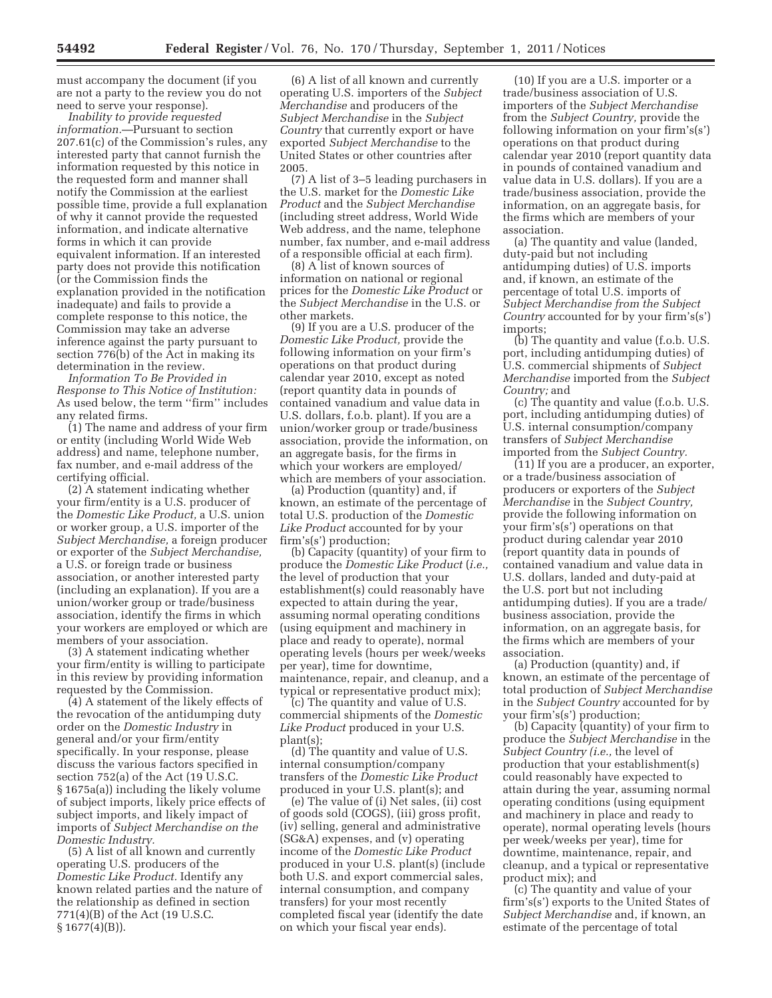must accompany the document (if you are not a party to the review you do not need to serve your response).

*Inability to provide requested information.*—Pursuant to section 207.61(c) of the Commission's rules, any interested party that cannot furnish the information requested by this notice in the requested form and manner shall notify the Commission at the earliest possible time, provide a full explanation of why it cannot provide the requested information, and indicate alternative forms in which it can provide equivalent information. If an interested party does not provide this notification (or the Commission finds the explanation provided in the notification inadequate) and fails to provide a complete response to this notice, the Commission may take an adverse inference against the party pursuant to section 776(b) of the Act in making its determination in the review.

*Information To Be Provided in Response to This Notice of Institution:*  As used below, the term ''firm'' includes any related firms.

(1) The name and address of your firm or entity (including World Wide Web address) and name, telephone number, fax number, and e-mail address of the certifying official.

(2) A statement indicating whether your firm/entity is a U.S. producer of the *Domestic Like Product,* a U.S. union or worker group, a U.S. importer of the *Subject Merchandise,* a foreign producer or exporter of the *Subject Merchandise,*  a U.S. or foreign trade or business association, or another interested party (including an explanation). If you are a union/worker group or trade/business association, identify the firms in which your workers are employed or which are members of your association.

(3) A statement indicating whether your firm/entity is willing to participate in this review by providing information requested by the Commission.

(4) A statement of the likely effects of the revocation of the antidumping duty order on the *Domestic Industry* in general and/or your firm/entity specifically. In your response, please discuss the various factors specified in section 752(a) of the Act (19 U.S.C. § 1675a(a)) including the likely volume of subject imports, likely price effects of subject imports, and likely impact of imports of *Subject Merchandise on the Domestic Industry.* 

(5) A list of all known and currently operating U.S. producers of the *Domestic Like Product.* Identify any known related parties and the nature of the relationship as defined in section 771(4)(B) of the Act (19 U.S.C. § 1677(4)(B)).

(6) A list of all known and currently operating U.S. importers of the *Subject Merchandise* and producers of the *Subject Merchandise* in the *Subject Country* that currently export or have exported *Subject Merchandise* to the United States or other countries after 2005.

(7) A list of 3–5 leading purchasers in the U.S. market for the *Domestic Like Product* and the *Subject Merchandise*  (including street address, World Wide Web address, and the name, telephone number, fax number, and e-mail address of a responsible official at each firm).

(8) A list of known sources of information on national or regional prices for the *Domestic Like Product* or the *Subject Merchandise* in the U.S. or other markets.

(9) If you are a U.S. producer of the *Domestic Like Product,* provide the following information on your firm's operations on that product during calendar year 2010, except as noted (report quantity data in pounds of contained vanadium and value data in U.S. dollars, f.o.b. plant). If you are a union/worker group or trade/business association, provide the information, on an aggregate basis, for the firms in which your workers are employed/ which are members of your association.

(a) Production (quantity) and, if known, an estimate of the percentage of total U.S. production of the *Domestic Like Product* accounted for by your firm's(s') production;

(b) Capacity (quantity) of your firm to produce the *Domestic Like Product* (*i.e.,*  the level of production that your establishment(s) could reasonably have expected to attain during the year, assuming normal operating conditions (using equipment and machinery in place and ready to operate), normal operating levels (hours per week/weeks per year), time for downtime, maintenance, repair, and cleanup, and a typical or representative product mix);

(c) The quantity and value of U.S. commercial shipments of the *Domestic Like Product* produced in your U.S. plant(s);

(d) The quantity and value of U.S. internal consumption/company transfers of the *Domestic Like Product*  produced in your U.S. plant(s); and

(e) The value of (i) Net sales, (ii) cost of goods sold (COGS), (iii) gross profit, (iv) selling, general and administrative (SG&A) expenses, and (v) operating income of the *Domestic Like Product*  produced in your U.S. plant(s) (include both U.S. and export commercial sales, internal consumption, and company transfers) for your most recently completed fiscal year (identify the date on which your fiscal year ends).

(10) If you are a U.S. importer or a trade/business association of U.S. importers of the *Subject Merchandise*  from the *Subject Country,* provide the following information on your firm's(s') operations on that product during calendar year 2010 (report quantity data in pounds of contained vanadium and value data in U.S. dollars). If you are a trade/business association, provide the information, on an aggregate basis, for the firms which are members of your association.

(a) The quantity and value (landed, duty-paid but not including antidumping duties) of U.S. imports and, if known, an estimate of the percentage of total U.S. imports of *Subject Merchandise from the Subject Country* accounted for by your firm's(s') imports;

(b) The quantity and value (f.o.b. U.S. port, including antidumping duties) of U.S. commercial shipments of *Subject Merchandise* imported from the *Subject Country;* and

(c) The quantity and value (f.o.b. U.S. port, including antidumping duties) of U.S. internal consumption/company transfers of *Subject Merchandise*  imported from the *Subject Country.* 

(11) If you are a producer, an exporter, or a trade/business association of producers or exporters of the *Subject Merchandise* in the *Subject Country,*  provide the following information on your firm's(s') operations on that product during calendar year 2010 (report quantity data in pounds of contained vanadium and value data in U.S. dollars, landed and duty-paid at the U.S. port but not including antidumping duties). If you are a trade/ business association, provide the information, on an aggregate basis, for the firms which are members of your association.

(a) Production (quantity) and, if known, an estimate of the percentage of total production of *Subject Merchandise*  in the *Subject Country* accounted for by your firm's(s') production;

(b) Capacity (quantity) of your firm to produce the *Subject Merchandise* in the *Subject Country (i.e.,* the level of production that your establishment(s) could reasonably have expected to attain during the year, assuming normal operating conditions (using equipment and machinery in place and ready to operate), normal operating levels (hours per week/weeks per year), time for downtime, maintenance, repair, and cleanup, and a typical or representative product mix); and

(c) The quantity and value of your firm's(s') exports to the United States of *Subject Merchandise* and, if known, an estimate of the percentage of total